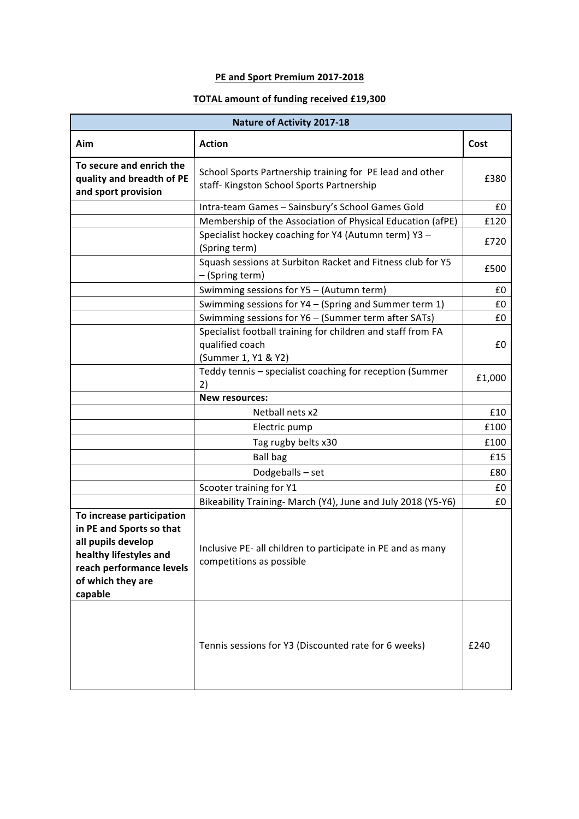## **PE and Sport Premium 2017-2018**

## **TOTAL amount of funding received £19,300**

| <b>Nature of Activity 2017-18</b>                                                                                                                                 |                                                                                                                                                        |        |  |  |  |
|-------------------------------------------------------------------------------------------------------------------------------------------------------------------|--------------------------------------------------------------------------------------------------------------------------------------------------------|--------|--|--|--|
| Aim                                                                                                                                                               | <b>Action</b>                                                                                                                                          | Cost   |  |  |  |
| To secure and enrich the<br>quality and breadth of PE<br>and sport provision                                                                                      | School Sports Partnership training for PE lead and other<br>staff- Kingston School Sports Partnership                                                  |        |  |  |  |
|                                                                                                                                                                   | Intra-team Games - Sainsbury's School Games Gold                                                                                                       |        |  |  |  |
|                                                                                                                                                                   | Membership of the Association of Physical Education (afPE)                                                                                             |        |  |  |  |
|                                                                                                                                                                   | Specialist hockey coaching for Y4 (Autumn term) Y3 -<br>(Spring term)<br>Squash sessions at Surbiton Racket and Fitness club for Y5<br>- (Spring term) |        |  |  |  |
|                                                                                                                                                                   |                                                                                                                                                        |        |  |  |  |
|                                                                                                                                                                   | Swimming sessions for Y5 - (Autumn term)                                                                                                               | £0     |  |  |  |
|                                                                                                                                                                   | Swimming sessions for Y4 - (Spring and Summer term 1)                                                                                                  | £0     |  |  |  |
|                                                                                                                                                                   | Swimming sessions for Y6 - (Summer term after SATs)                                                                                                    | £0     |  |  |  |
|                                                                                                                                                                   | Specialist football training for children and staff from FA<br>qualified coach<br>(Summer 1, Y1 & Y2)                                                  | £0     |  |  |  |
|                                                                                                                                                                   | Teddy tennis - specialist coaching for reception (Summer<br>2)                                                                                         | £1,000 |  |  |  |
|                                                                                                                                                                   | <b>New resources:</b>                                                                                                                                  |        |  |  |  |
|                                                                                                                                                                   | Netball nets x2                                                                                                                                        | £10    |  |  |  |
|                                                                                                                                                                   | Electric pump                                                                                                                                          | £100   |  |  |  |
|                                                                                                                                                                   | Tag rugby belts x30                                                                                                                                    | £100   |  |  |  |
|                                                                                                                                                                   | <b>Ball bag</b>                                                                                                                                        | £15    |  |  |  |
|                                                                                                                                                                   | Dodgeballs-set                                                                                                                                         | £80    |  |  |  |
|                                                                                                                                                                   | Scooter training for Y1                                                                                                                                |        |  |  |  |
|                                                                                                                                                                   | Bikeability Training- March (Y4), June and July 2018 (Y5-Y6)                                                                                           | £0     |  |  |  |
| To increase participation<br>in PE and Sports so that<br>all pupils develop<br>healthy lifestyles and<br>reach performance levels<br>of which they are<br>capable | Inclusive PE- all children to participate in PE and as many<br>competitions as possible                                                                |        |  |  |  |
|                                                                                                                                                                   | Tennis sessions for Y3 (Discounted rate for 6 weeks)                                                                                                   | f240   |  |  |  |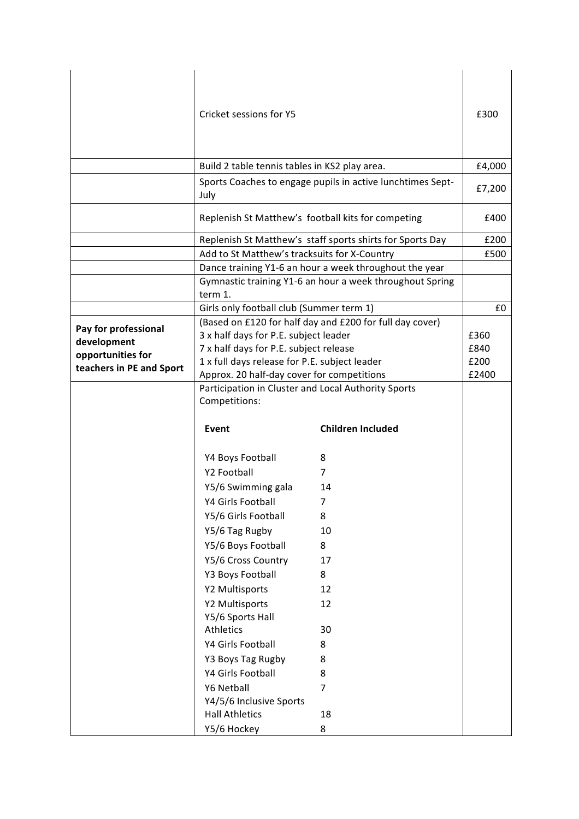|                          | Cricket sessions for Y5                                              | £300                                                     |        |
|--------------------------|----------------------------------------------------------------------|----------------------------------------------------------|--------|
|                          | Build 2 table tennis tables in KS2 play area.                        |                                                          | £4,000 |
|                          | Sports Coaches to engage pupils in active lunchtimes Sept-<br>July   |                                                          | £7,200 |
|                          | Replenish St Matthew's football kits for competing                   |                                                          | £400   |
|                          | Replenish St Matthew's staff sports shirts for Sports Day            |                                                          | £200   |
|                          | Add to St Matthew's tracksuits for X-Country                         |                                                          | £500   |
|                          | Dance training Y1-6 an hour a week throughout the year               |                                                          |        |
|                          | term 1.                                                              | Gymnastic training Y1-6 an hour a week throughout Spring |        |
|                          | Girls only football club (Summer term 1)                             |                                                          | £0     |
| Pay for professional     | (Based on £120 for half day and £200 for full day cover)             |                                                          |        |
| development              | 3 x half days for P.E. subject leader                                |                                                          | £360   |
| opportunities for        | 7 x half days for P.E. subject release                               |                                                          | £840   |
| teachers in PE and Sport | 1 x full days release for P.E. subject leader                        |                                                          | £200   |
|                          | Approx. 20 half-day cover for competitions                           |                                                          | £2400  |
|                          | Participation in Cluster and Local Authority Sports<br>Competitions: |                                                          |        |
|                          | <b>Event</b>                                                         | <b>Children Included</b>                                 |        |
|                          | Y4 Boys Football                                                     | 8                                                        |        |
|                          | Y2 Football                                                          | 7                                                        |        |
|                          | Y5/6 Swimming gala                                                   | 14                                                       |        |
|                          | Y4 Girls Football                                                    | 7                                                        |        |
|                          | Y5/6 Girls Football                                                  | 8                                                        |        |
|                          | Y5/6 Tag Rugby                                                       | 10                                                       |        |
|                          | Y5/6 Boys Football                                                   | 8                                                        |        |
|                          | Y5/6 Cross Country                                                   | 17                                                       |        |
|                          | Y3 Boys Football                                                     | 8                                                        |        |
|                          | Y2 Multisports                                                       | 12                                                       |        |
|                          | Y2 Multisports                                                       | 12                                                       |        |
|                          | Y5/6 Sports Hall                                                     |                                                          |        |
|                          | Athletics                                                            | 30                                                       |        |
|                          | Y4 Girls Football                                                    | 8                                                        |        |
|                          | Y3 Boys Tag Rugby                                                    | 8                                                        |        |
|                          |                                                                      | 8                                                        |        |
|                          | Y4 Girls Football                                                    |                                                          |        |
|                          | Y6 Netball                                                           | $\overline{7}$                                           |        |
|                          | Y4/5/6 Inclusive Sports                                              |                                                          |        |
|                          | <b>Hall Athletics</b>                                                | 18                                                       |        |